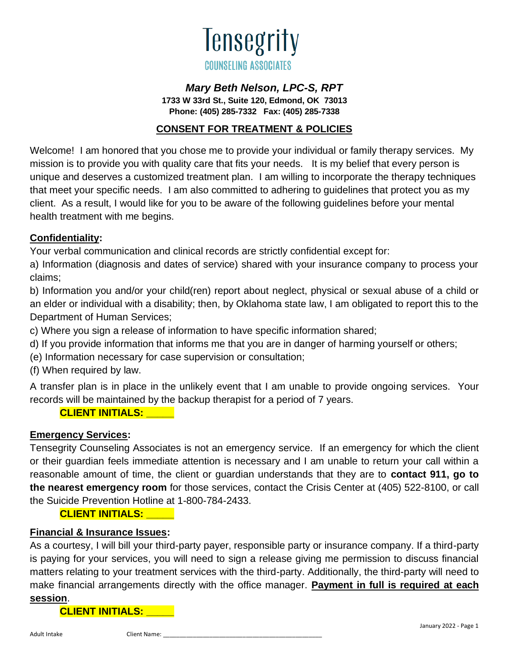

# *Mary Beth Nelson, LPC-S, RPT*

**1733 W 33rd St., Suite 120, Edmond, OK 73013 Phone: (405) 285-7332 Fax: (405) 285-7338**

## **CONSENT FOR TREATMENT & POLICIES**

Welcome! I am honored that you chose me to provide your individual or family therapy services. My mission is to provide you with quality care that fits your needs. It is my belief that every person is unique and deserves a customized treatment plan. I am willing to incorporate the therapy techniques that meet your specific needs. I am also committed to adhering to guidelines that protect you as my client. As a result, I would like for you to be aware of the following guidelines before your mental health treatment with me begins.

## **Confidentiality:**

Your verbal communication and clinical records are strictly confidential except for:

a) Information (diagnosis and dates of service) shared with your insurance company to process your claims;

b) Information you and/or your child(ren) report about neglect, physical or sexual abuse of a child or an elder or individual with a disability; then, by Oklahoma state law, I am obligated to report this to the Department of Human Services;

c) Where you sign a release of information to have specific information shared;

d) If you provide information that informs me that you are in danger of harming yourself or others;

(e) Information necessary for case supervision or consultation;

(f) When required by law.

A transfer plan is in place in the unlikely event that I am unable to provide ongoing services. Your records will be maintained by the backup therapist for a period of 7 years.

#### **CLIENT INITIALS: \_\_\_\_\_**

# **Emergency Services:**

Tensegrity Counseling Associates is not an emergency service. If an emergency for which the client or their guardian feels immediate attention is necessary and I am unable to return your call within a reasonable amount of time, the client or guardian understands that they are to **contact 911, go to the nearest emergency room** for those services, contact the Crisis Center at (405) 522-8100, or call the Suicide Prevention Hotline at 1-800-784-2433.

# **CLIENT INITIALS: \_\_\_\_\_**

#### **Financial & Insurance Issues:**

As a courtesy, I will bill your third-party payer, responsible party or insurance company. If a third-party is paying for your services, you will need to sign a release giving me permission to discuss financial matters relating to your treatment services with the third-party. Additionally, the third-party will need to make financial arrangements directly with the office manager. **Payment in full is required at each session**.

**CLIENT INITIALS: \_\_\_\_\_**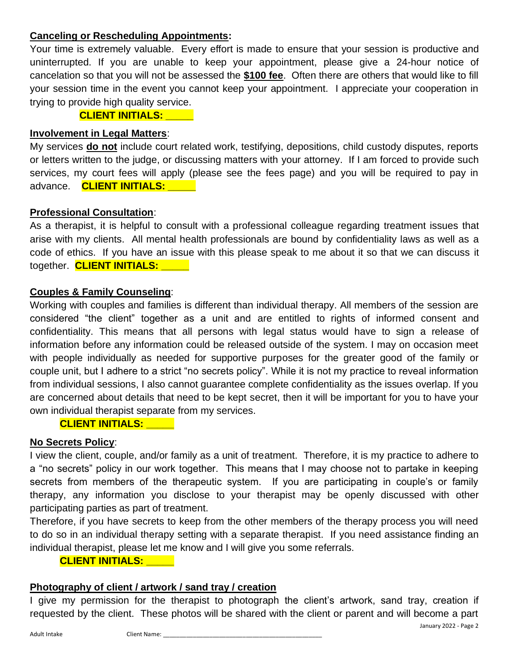### **Canceling or Rescheduling Appointments:**

Your time is extremely valuable. Every effort is made to ensure that your session is productive and uninterrupted. If you are unable to keep your appointment, please give a 24-hour notice of cancelation so that you will not be assessed the **\$100 fee**. Often there are others that would like to fill your session time in the event you cannot keep your appointment. I appreciate your cooperation in trying to provide high quality service.

 **CLIENT INITIALS: \_\_\_\_\_**

# **Involvement in Legal Matters**:

My services **do not** include court related work, testifying, depositions, child custody disputes, reports or letters written to the judge, or discussing matters with your attorney. If I am forced to provide such services, my court fees will apply (please see the fees page) and you will be required to pay in advance. **CLIENT INITIALS: \_\_\_\_\_**

## **Professional Consultation**:

As a therapist, it is helpful to consult with a professional colleague regarding treatment issues that arise with my clients. All mental health professionals are bound by confidentiality laws as well as a code of ethics. If you have an issue with this please speak to me about it so that we can discuss it together. **CLIENT INITIALS: \_\_\_\_\_**

# **Couples & Family Counseling**:

Working with couples and families is different than individual therapy. All members of the session are considered "the client" together as a unit and are entitled to rights of informed consent and confidentiality. This means that all persons with legal status would have to sign a release of information before any information could be released outside of the system. I may on occasion meet with people individually as needed for supportive purposes for the greater good of the family or couple unit, but I adhere to a strict "no secrets policy". While it is not my practice to reveal information from individual sessions, I also cannot guarantee complete confidentiality as the issues overlap. If you are concerned about details that need to be kept secret, then it will be important for you to have your own individual therapist separate from my services.

# **CLIENT INITIALS: \_\_\_\_\_**

# **No Secrets Policy**:

I view the client, couple, and/or family as a unit of treatment. Therefore, it is my practice to adhere to a "no secrets" policy in our work together. This means that I may choose not to partake in keeping secrets from members of the therapeutic system. If you are participating in couple's or family therapy, any information you disclose to your therapist may be openly discussed with other participating parties as part of treatment.

Therefore, if you have secrets to keep from the other members of the therapy process you will need to do so in an individual therapy setting with a separate therapist. If you need assistance finding an individual therapist, please let me know and I will give you some referrals.

#### **CLIENT INITIALS: \_\_\_\_\_**

# **Photography of client / artwork / sand tray / creation**

I give my permission for the therapist to photograph the client's artwork, sand tray, creation if requested by the client. These photos will be shared with the client or parent and will become a part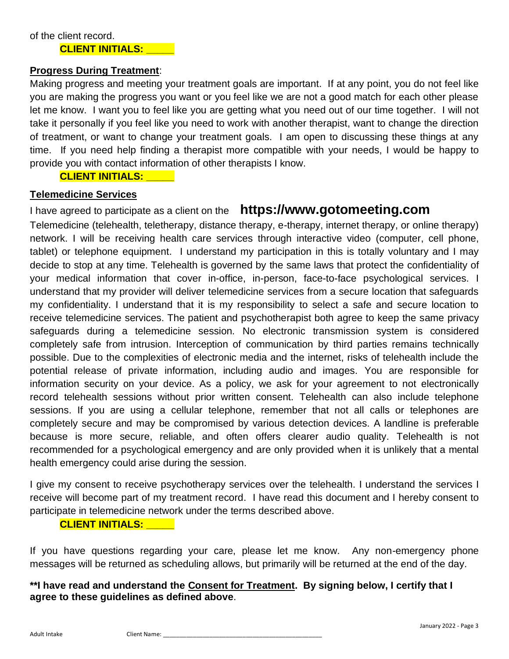#### **Progress During Treatment**:

Making progress and meeting your treatment goals are important. If at any point, you do not feel like you are making the progress you want or you feel like we are not a good match for each other please let me know. I want you to feel like you are getting what you need out of our time together. I will not take it personally if you feel like you need to work with another therapist, want to change the direction of treatment, or want to change your treatment goals. I am open to discussing these things at any time. If you need help finding a therapist more compatible with your needs, I would be happy to provide you with contact information of other therapists I know.

#### **CLIENT INITIALS: \_\_\_\_\_**

#### **Telemedicine Services**

# I have agreed to participate as a client on the **https://www.gotomeeting.com**

Telemedicine (telehealth, teletherapy, distance therapy, e-therapy, internet therapy, or online therapy) network. I will be receiving health care services through interactive video (computer, cell phone, tablet) or telephone equipment. I understand my participation in this is totally voluntary and I may decide to stop at any time. Telehealth is governed by the same laws that protect the confidentiality of your medical information that cover in-office, in-person, face-to-face psychological services. I understand that my provider will deliver telemedicine services from a secure location that safeguards my confidentiality. I understand that it is my responsibility to select a safe and secure location to receive telemedicine services. The patient and psychotherapist both agree to keep the same privacy safeguards during a telemedicine session. No electronic transmission system is considered completely safe from intrusion. Interception of communication by third parties remains technically possible. Due to the complexities of electronic media and the internet, risks of telehealth include the potential release of private information, including audio and images. You are responsible for information security on your device. As a policy, we ask for your agreement to not electronically record telehealth sessions without prior written consent. Telehealth can also include telephone sessions. If you are using a cellular telephone, remember that not all calls or telephones are completely secure and may be compromised by various detection devices. A landline is preferable because is more secure, reliable, and often offers clearer audio quality. Telehealth is not recommended for a psychological emergency and are only provided when it is unlikely that a mental health emergency could arise during the session.

I give my consent to receive psychotherapy services over the telehealth. I understand the services I receive will become part of my treatment record. I have read this document and I hereby consent to participate in telemedicine network under the terms described above.

#### **CLIENT INITIALS: \_\_\_\_\_**

If you have questions regarding your care, please let me know. Any non-emergency phone messages will be returned as scheduling allows, but primarily will be returned at the end of the day.

## **\*\*I have read and understand the Consent for Treatment. By signing below, I certify that I agree to these guidelines as defined above**.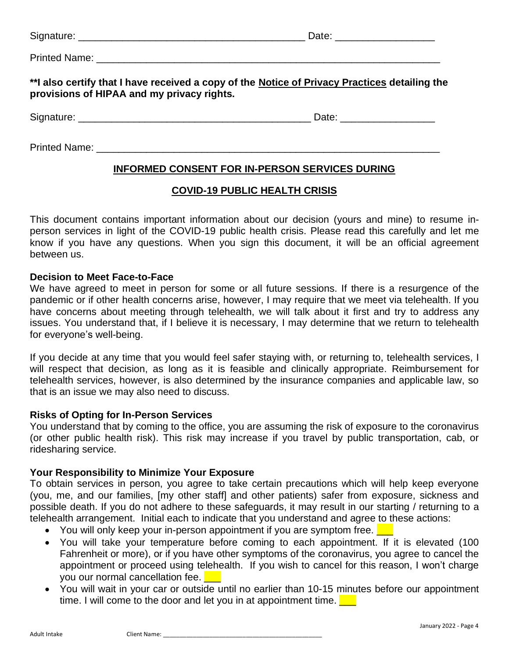|  |  | Signature: |  |
|--|--|------------|--|
|  |  |            |  |

Signature: \_\_\_\_\_\_\_\_\_\_\_\_\_\_\_\_\_\_\_\_\_\_\_\_\_\_\_\_\_\_\_\_\_\_\_\_\_\_\_\_\_ Date: \_\_\_\_\_\_\_\_\_\_\_\_\_\_\_\_\_\_

Printed Name: **Example 1** 

**\*\*I also certify that I have received a copy of the Notice of Privacy Practices detailing the provisions of HIPAA and my privacy rights.**

Signature: \_\_\_\_\_\_\_\_\_\_\_\_\_\_\_\_\_\_\_\_\_\_\_\_\_\_\_\_\_\_\_\_\_\_\_\_\_\_\_\_\_\_ Date: \_\_\_\_\_\_\_\_\_\_\_\_\_\_\_\_\_

Printed Name: \_\_\_\_\_\_\_\_\_\_\_\_\_\_\_\_\_\_\_\_\_\_\_\_\_\_\_\_\_\_\_\_\_\_\_\_\_\_\_\_\_\_\_\_\_\_\_\_\_\_\_\_\_\_\_\_\_\_\_\_\_\_

# **INFORMED CONSENT FOR IN-PERSON SERVICES DURING**

#### **COVID-19 PUBLIC HEALTH CRISIS**

This document contains important information about our decision (yours and mine) to resume inperson services in light of the COVID-19 public health crisis. Please read this carefully and let me know if you have any questions. When you sign this document, it will be an official agreement between us.

#### **Decision to Meet Face-to-Face**

We have agreed to meet in person for some or all future sessions. If there is a resurgence of the pandemic or if other health concerns arise, however, I may require that we meet via telehealth. If you have concerns about meeting through telehealth, we will talk about it first and try to address any issues. You understand that, if I believe it is necessary, I may determine that we return to telehealth for everyone's well-being.

If you decide at any time that you would feel safer staying with, or returning to, telehealth services, I will respect that decision, as long as it is feasible and clinically appropriate. Reimbursement for telehealth services, however, is also determined by the insurance companies and applicable law, so that is an issue we may also need to discuss.

#### **Risks of Opting for In-Person Services**

You understand that by coming to the office, you are assuming the risk of exposure to the coronavirus (or other public health risk). This risk may increase if you travel by public transportation, cab, or ridesharing service.

#### **Your Responsibility to Minimize Your Exposure**

To obtain services in person, you agree to take certain precautions which will help keep everyone (you, me, and our families, [my other staff] and other patients) safer from exposure, sickness and possible death. If you do not adhere to these safeguards, it may result in our starting / returning to a telehealth arrangement. Initial each to indicate that you understand and agree to these actions:

- You will only keep your in-person appointment if you are symptom free.  $\Box$
- You will take your temperature before coming to each appointment. If it is elevated (100 Fahrenheit or more), or if you have other symptoms of the coronavirus, you agree to cancel the appointment or proceed using telehealth. If you wish to cancel for this reason, I won't charge you our normal cancellation fee.
- You will wait in your car or outside until no earlier than 10-15 minutes before our appointment time. I will come to the door and let you in at appointment time.  $\Box$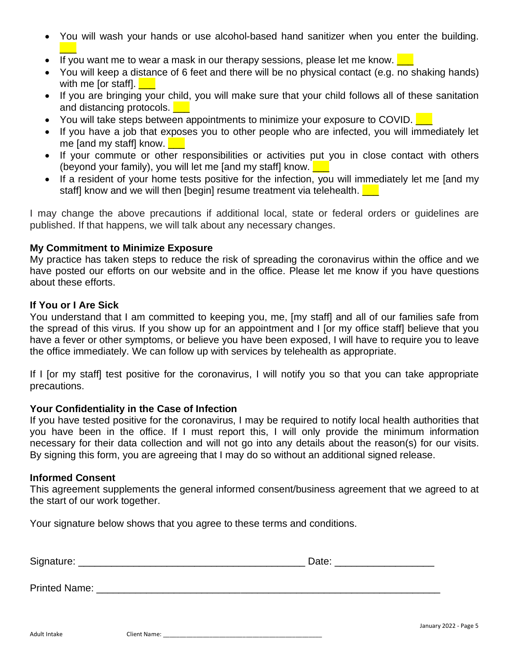- You will wash your hands or use alcohol-based hand sanitizer when you enter the building.  $\overline{\phantom{a}}$
- If you want me to wear a mask in our therapy sessions, please let me know.  $\Box$
- You will keep a distance of 6 feet and there will be no physical contact (e.g. no shaking hands) with me for staff.  $\blacksquare$
- If you are bringing your child, you will make sure that your child follows all of these sanitation and distancing protocols.
- You will take steps between appointments to minimize your exposure to COVID.
- If you have a job that exposes you to other people who are infected, you will immediately let me [and my staff] know.  $\Box$
- If your commute or other responsibilities or activities put you in close contact with others (beyond your family), you will let me [and my staff] know.  $\Box$
- If a resident of your home tests positive for the infection, you will immediately let me [and my staff] know and we will then [begin] resume treatment via telehealth.

I may change the above precautions if additional local, state or federal orders or guidelines are published. If that happens, we will talk about any necessary changes.

#### **My Commitment to Minimize Exposure**

My practice has taken steps to reduce the risk of spreading the coronavirus within the office and we have posted our efforts on our website and in the office. Please let me know if you have questions about these efforts.

#### **If You or I Are Sick**

You understand that I am committed to keeping you, me, [my staff] and all of our families safe from the spread of this virus. If you show up for an appointment and I [or my office staff] believe that you have a fever or other symptoms, or believe you have been exposed, I will have to require you to leave the office immediately. We can follow up with services by telehealth as appropriate.

If I [or my staff] test positive for the coronavirus, I will notify you so that you can take appropriate precautions.

#### **Your Confidentiality in the Case of Infection**

If you have tested positive for the coronavirus, I may be required to notify local health authorities that you have been in the office. If I must report this, I will only provide the minimum information necessary for their data collection and will not go into any details about the reason(s) for our visits. By signing this form, you are agreeing that I may do so without an additional signed release.

#### **Informed Consent**

This agreement supplements the general informed consent/business agreement that we agreed to at the start of our work together.

Your signature below shows that you agree to these terms and conditions.

| Signature:<br>$-9$ | - |
|--------------------|---|
|                    |   |

Printed Name: **Example 20** and 20 and 20 and 20 and 20 and 20 and 20 and 20 and 20 and 20 and 20 and 20 and 20 and 20 and 20 and 20 and 20 and 20 and 20 and 20 and 20 and 20 and 20 and 20 and 20 and 20 and 20 and 20 and 20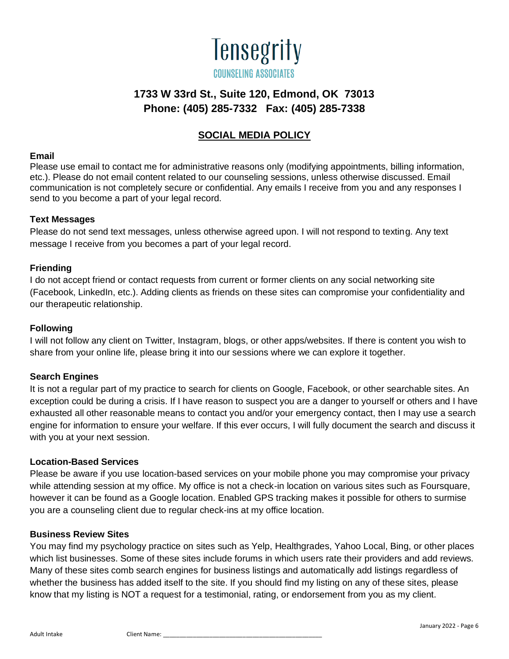

# **SOCIAL MEDIA POLICY**

#### **Email**

Please use email to contact me for administrative reasons only (modifying appointments, billing information, etc.). Please do not email content related to our counseling sessions, unless otherwise discussed. Email communication is not completely secure or confidential. Any emails I receive from you and any responses I send to you become a part of your legal record.

#### **Text Messages**

Please do not send text messages, unless otherwise agreed upon. I will not respond to texting. Any text message I receive from you becomes a part of your legal record.

#### **Friending**

I do not accept friend or contact requests from current or former clients on any social networking site (Facebook, LinkedIn, etc.). Adding clients as friends on these sites can compromise your confidentiality and our therapeutic relationship.

#### **Following**

I will not follow any client on Twitter, Instagram, blogs, or other apps/websites. If there is content you wish to share from your online life, please bring it into our sessions where we can explore it together.

#### **Search Engines**

It is not a regular part of my practice to search for clients on Google, Facebook, or other searchable sites. An exception could be during a crisis. If I have reason to suspect you are a danger to yourself or others and I have exhausted all other reasonable means to contact you and/or your emergency contact, then I may use a search engine for information to ensure your welfare. If this ever occurs, I will fully document the search and discuss it with you at your next session.

#### **Location-Based Services**

Please be aware if you use location-based services on your mobile phone you may compromise your privacy while attending session at my office. My office is not a check-in location on various sites such as Foursquare, however it can be found as a Google location. Enabled GPS tracking makes it possible for others to surmise you are a counseling client due to regular check-ins at my office location.

#### **Business Review Sites**

You may find my psychology practice on sites such as Yelp, Healthgrades, Yahoo Local, Bing, or other places which list businesses. Some of these sites include forums in which users rate their providers and add reviews. Many of these sites comb search engines for business listings and automatically add listings regardless of whether the business has added itself to the site. If you should find my listing on any of these sites, please know that my listing is NOT a request for a testimonial, rating, or endorsement from you as my client.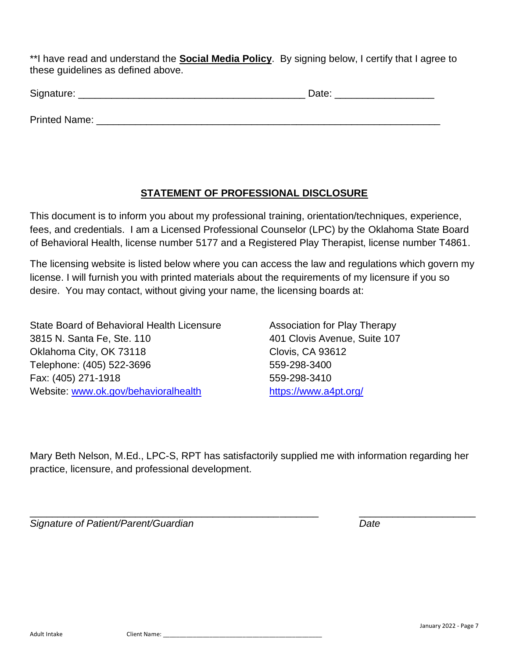\*\*I have read and understand the **Social Media Policy**. By signing below, I certify that I agree to these guidelines as defined above.

| Signature:    | Date: |
|---------------|-------|
| Printed Name: |       |

#### **STATEMENT OF PROFESSIONAL DISCLOSURE**

This document is to inform you about my professional training, orientation/techniques, experience, fees, and credentials. I am a Licensed Professional Counselor (LPC) by the Oklahoma State Board of Behavioral Health, license number 5177 and a Registered Play Therapist, license number T4861.

The licensing website is listed below where you can access the law and regulations which govern my license. I will furnish you with printed materials about the requirements of my licensure if you so desire. You may contact, without giving your name, the licensing boards at:

State Board of Behavioral Health Licensure **Association for Play Therapy** 3815 N. Santa Fe, Ste. 110 401 Clovis Avenue, Suite 107 Oklahoma City, OK 73118 Clovis, CA 93612 Telephone: (405) 522-3696 559-298-3400 Fax: (405) 271-1918 559-298-3410 Website: [www.ok.gov/behavioralhealth](http://www.health.ok.gov/program/lpc/) <https://www.a4pt.org/>

Mary Beth Nelson, M.Ed., LPC-S, RPT has satisfactorily supplied me with information regarding her practice, licensure, and professional development.

\_\_\_\_\_\_\_\_\_\_\_\_\_\_\_\_\_\_\_\_\_\_\_\_\_\_\_\_\_\_\_\_\_\_\_\_\_\_\_\_\_\_\_\_\_\_\_\_\_\_\_\_ \_\_\_\_\_\_\_\_\_\_\_\_\_\_\_\_\_\_\_\_\_

*Signature of Patient/Parent/Guardian Date*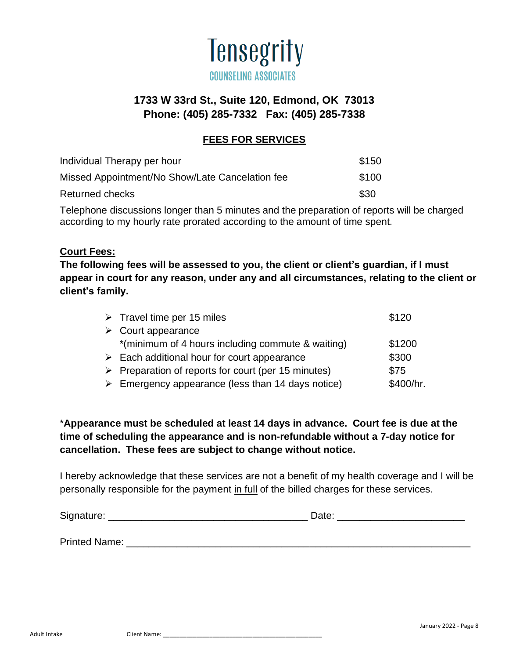

# **FEES FOR SERVICES**

| Individual Therapy per hour                     | \$150 |
|-------------------------------------------------|-------|
| Missed Appointment/No Show/Late Cancelation fee | \$100 |
| Returned checks                                 | \$30  |

Telephone discussions longer than 5 minutes and the preparation of reports will be charged according to my hourly rate prorated according to the amount of time spent.

#### **Court Fees:**

**The following fees will be assessed to you, the client or client's guardian, if I must appear in court for any reason, under any and all circumstances, relating to the client or client's family.**

| $\triangleright$ Travel time per 15 miles                          | \$120     |
|--------------------------------------------------------------------|-----------|
| $\triangleright$ Court appearance                                  |           |
| *(minimum of 4 hours including commute & waiting)                  | \$1200    |
| $\triangleright$ Each additional hour for court appearance         | \$300     |
| $\triangleright$ Preparation of reports for court (per 15 minutes) | \$75      |
| $\triangleright$ Emergency appearance (less than 14 days notice)   | \$400/hr. |

# \***Appearance must be scheduled at least 14 days in advance. Court fee is due at the time of scheduling the appearance and is non-refundable without a 7-day notice for cancellation. These fees are subject to change without notice.**

I hereby acknowledge that these services are not a benefit of my health coverage and I will be personally responsible for the payment in full of the billed charges for these services.

| Signature:    | Date: |
|---------------|-------|
|               |       |
| Printed Name: |       |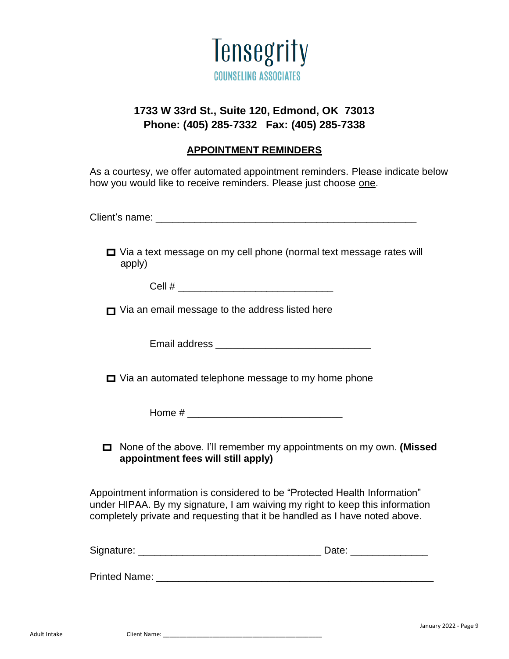

## **APPOINTMENT REMINDERS**

As a courtesy, we offer automated appointment reminders. Please indicate below how you would like to receive reminders. Please just choose one.

Client's name: \_\_\_\_\_\_\_\_\_\_\_\_\_\_\_\_\_\_\_\_\_\_\_\_\_\_\_\_\_\_\_\_\_\_\_\_\_\_\_\_\_\_\_\_\_\_\_

|        | $\Box$ Via a text message on my cell phone (normal text message rates will |  |
|--------|----------------------------------------------------------------------------|--|
| apply) |                                                                            |  |

 $Cell \#$ 

 $\blacksquare$  Via an email message to the address listed here

Email address **Email address** and the set of the set of the set of the set of the set of the set of the set of the set of the set of the set of the set of the set of the set of the set of the set of the set of the set of t

 $\Box$  Via an automated telephone message to my home phone

Home # \_\_\_\_\_\_\_\_\_\_\_\_\_\_\_\_\_\_\_\_\_\_\_\_\_\_\_\_

None of the above. I'll remember my appointments on my own. **(Missed appointment fees will still apply)**

Appointment information is considered to be "Protected Health Information" under HIPAA. By my signature, I am waiving my right to keep this information completely private and requesting that it be handled as I have noted above.

Signature: \_\_\_\_\_\_\_\_\_\_\_\_\_\_\_\_\_\_\_\_\_\_\_\_\_\_\_\_\_\_\_\_\_ Date: \_\_\_\_\_\_\_\_\_\_\_\_\_\_

Printed Name: **Example 20** and 20 and 20 and 20 and 20 and 20 and 20 and 20 and 20 and 20 and 20 and 20 and 20 and 20 and 20 and 20 and 20 and 20 and 20 and 20 and 20 and 20 and 20 and 20 and 20 and 20 and 20 and 20 and 20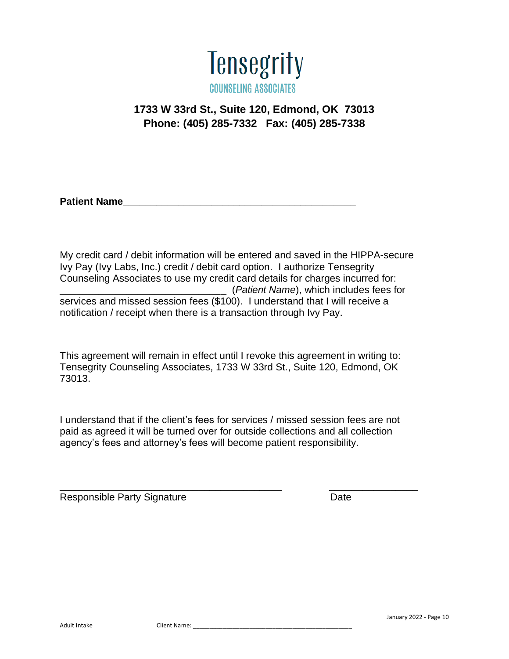

**Patient Name** 

My credit card / debit information will be entered and saved in the HIPPA-secure Ivy Pay (Ivy Labs, Inc.) credit / debit card option. I authorize Tensegrity Counseling Associates to use my credit card details for charges incurred for: \_\_\_\_\_\_\_\_\_\_\_\_\_\_\_\_\_\_\_\_\_\_\_\_\_\_\_\_\_\_ (*Patient Name*), which includes fees for services and missed session fees (\$100). I understand that I will receive a notification / receipt when there is a transaction through Ivy Pay.

This agreement will remain in effect until I revoke this agreement in writing to: Tensegrity Counseling Associates, 1733 W 33rd St., Suite 120, Edmond, OK 73013.

I understand that if the client's fees for services / missed session fees are not paid as agreed it will be turned over for outside collections and all collection agency's fees and attorney's fees will become patient responsibility.

\_\_\_\_\_\_\_\_\_\_\_\_\_\_\_\_\_\_\_\_\_\_\_\_\_\_\_\_\_\_\_\_\_\_\_\_\_\_\_\_ \_\_\_\_\_\_\_\_\_\_\_\_\_\_\_\_

Responsible Party Signature **Date** Date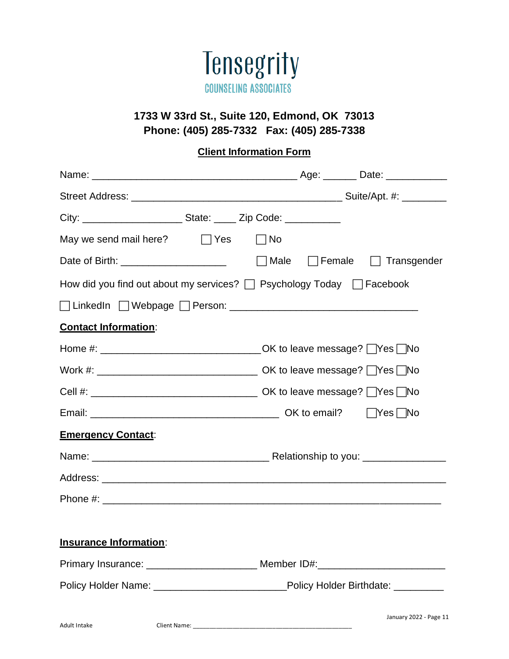

# **Client Information Form**

| May we send mail here? $\Box$ Yes                                                          | $\Box$ No |                                              |
|--------------------------------------------------------------------------------------------|-----------|----------------------------------------------|
| Date of Birth: ________________________                                                    |           | $\Box$ Male $\Box$ Female $\Box$ Transgender |
| How did you find out about my services? $\Box$ Psychology Today $\Box$ Facebook            |           |                                              |
|                                                                                            |           |                                              |
| <b>Contact Information:</b>                                                                |           |                                              |
| Home #: __________________________________OK to leave message? [Nes [No                    |           |                                              |
|                                                                                            |           |                                              |
|                                                                                            |           |                                              |
|                                                                                            |           |                                              |
| <b>Emergency Contact:</b>                                                                  |           |                                              |
|                                                                                            |           |                                              |
|                                                                                            |           |                                              |
|                                                                                            |           |                                              |
|                                                                                            |           |                                              |
| <b>Insurance Information:</b>                                                              |           |                                              |
|                                                                                            |           |                                              |
| Policy Holder Name: __________________________________Policy Holder Birthdate: ___________ |           |                                              |
|                                                                                            |           |                                              |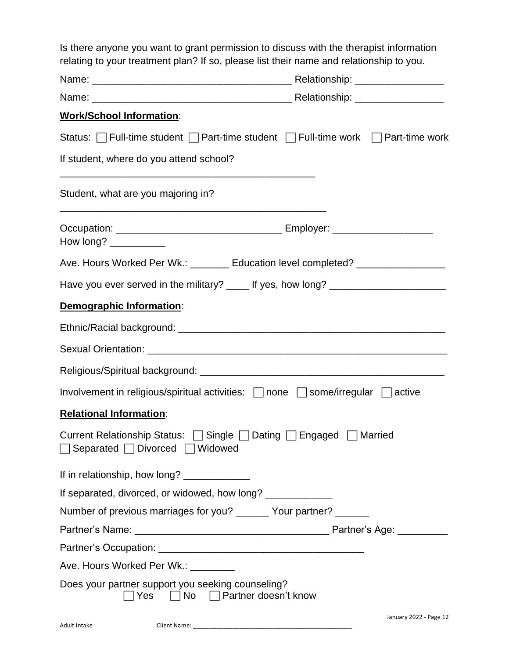| Is there anyone you want to grant permission to discuss with the therapist information  |
|-----------------------------------------------------------------------------------------|
| relating to your treatment plan? If so, please list their name and relationship to you. |

| <b>Work/School Information:</b>                                                                          |                        |  |  |  |  |
|----------------------------------------------------------------------------------------------------------|------------------------|--|--|--|--|
| Status: Full-time student Format-time student Full-time work Format-time work                            |                        |  |  |  |  |
| If student, where do you attend school?                                                                  |                        |  |  |  |  |
| Student, what are you majoring in?                                                                       |                        |  |  |  |  |
| How long? ___________                                                                                    |                        |  |  |  |  |
| Ave. Hours Worked Per Wk.: _______ Education level completed? _________________                          |                        |  |  |  |  |
| Have you ever served in the military? ____ If yes, how long? ___________________                         |                        |  |  |  |  |
| Demographic Information:                                                                                 |                        |  |  |  |  |
|                                                                                                          |                        |  |  |  |  |
|                                                                                                          |                        |  |  |  |  |
|                                                                                                          |                        |  |  |  |  |
| Involvement in religious/spiritual activities: none some/irregular active                                |                        |  |  |  |  |
| <b>Relational Information:</b>                                                                           |                        |  |  |  |  |
| Current Relationship Status: □ Single □ Dating □ Engaged □ Married<br>□ Separated □ Divorced □ Widowed   |                        |  |  |  |  |
| If in relationship, how long? ______________                                                             |                        |  |  |  |  |
| If separated, divorced, or widowed, how long? _____________                                              |                        |  |  |  |  |
| Number of previous marriages for you? ______ Your partner? ______                                        |                        |  |  |  |  |
|                                                                                                          |                        |  |  |  |  |
|                                                                                                          |                        |  |  |  |  |
| Ave. Hours Worked Per Wk.: ________                                                                      |                        |  |  |  |  |
| Does your partner support you seeking counseling?<br>$\exists$ Yes $\Box$ No $\Box$ Partner doesn't know |                        |  |  |  |  |
| Adult Intake                                                                                             | January 2022 - Page 12 |  |  |  |  |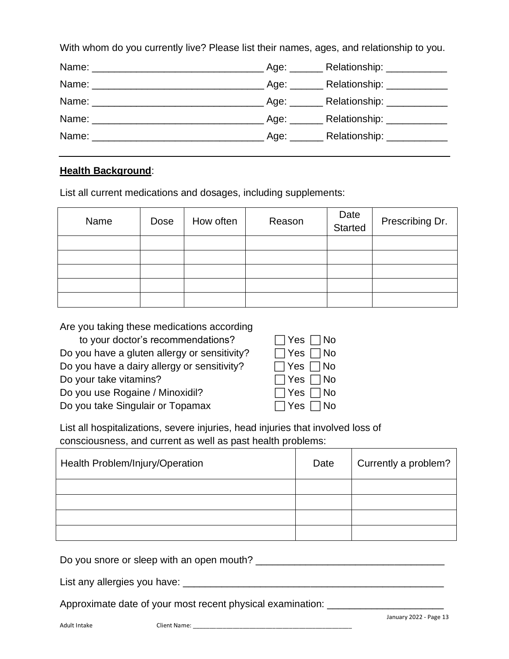With whom do you currently live? Please list their names, ages, and relationship to you.

|  | Age: ________ Relationship: ____________ |
|--|------------------------------------------|
|  |                                          |
|  |                                          |
|  |                                          |
|  |                                          |

# **Health Background**:

List all current medications and dosages, including supplements:

| Name | Dose | How often | Reason | Date<br>Started | Prescribing Dr. |
|------|------|-----------|--------|-----------------|-----------------|
|      |      |           |        |                 |                 |
|      |      |           |        |                 |                 |
|      |      |           |        |                 |                 |
|      |      |           |        |                 |                 |
|      |      |           |        |                 |                 |

Are you taking these medications according

| $\Box$ Yes $\Box$ No |
|----------------------|
| $\Box$ Yes $\Box$ No |
| $\Box$ Yes $\Box$ No |
| $\Box$ Yes $\Box$ No |
| $\Box$ Yes $\Box$ No |
| $\Box$ Yes $\Box$ No |
|                      |

| Yes | No<br>L.           |
|-----|--------------------|
| Yes | No                 |
| Yes | No                 |
| Yes | No<br>$\mathbf{I}$ |
| Yes | No                 |
| Yes | No                 |

List all hospitalizations, severe injuries, head injuries that involved loss of consciousness, and current as well as past health problems:

| Health Problem/Injury/Operation | Date | Currently a problem? |
|---------------------------------|------|----------------------|
|                                 |      |                      |
|                                 |      |                      |
|                                 |      |                      |
|                                 |      |                      |

Do you snore or sleep with an open mouth? \_\_\_\_\_\_\_\_\_\_\_\_\_\_\_\_\_\_\_\_\_\_\_\_\_\_\_\_\_\_\_\_\_\_

List any allergies you have: \_\_\_\_\_\_\_\_\_\_\_\_\_\_\_\_\_\_\_\_\_\_\_\_\_\_\_\_\_\_\_\_\_\_\_\_\_\_\_\_\_\_\_\_\_\_\_

Approximate date of your most recent physical examination: \_\_\_\_\_\_\_\_\_\_\_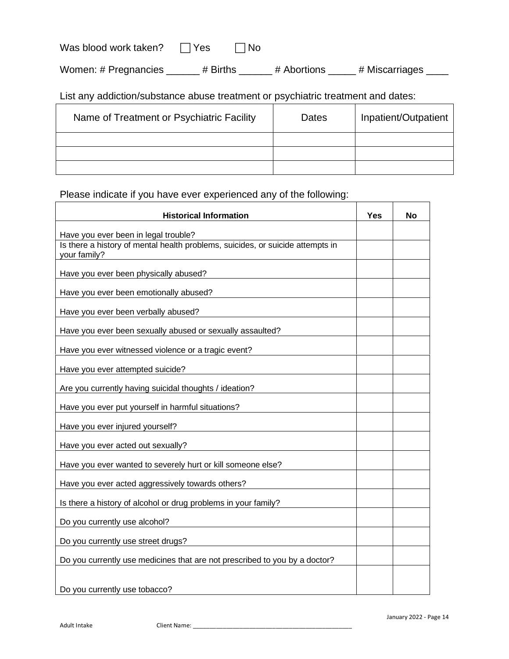Women: # Pregnancies \_\_\_\_\_ # Births \_\_\_\_\_ # Abortions \_\_\_\_ # Miscarriages \_\_\_\_

List any addiction/substance abuse treatment or psychiatric treatment and dates:

| Name of Treatment or Psychiatric Facility | Dates | Inpatient/Outpatient |
|-------------------------------------------|-------|----------------------|
|                                           |       |                      |
|                                           |       |                      |
|                                           |       |                      |

# Please indicate if you have ever experienced any of the following:

| <b>Historical Information</b>                                                  | Yes | No |
|--------------------------------------------------------------------------------|-----|----|
| Have you ever been in legal trouble?                                           |     |    |
| Is there a history of mental health problems, suicides, or suicide attempts in |     |    |
| your family?                                                                   |     |    |
| Have you ever been physically abused?                                          |     |    |
| Have you ever been emotionally abused?                                         |     |    |
| Have you ever been verbally abused?                                            |     |    |
| Have you ever been sexually abused or sexually assaulted?                      |     |    |
| Have you ever witnessed violence or a tragic event?                            |     |    |
| Have you ever attempted suicide?                                               |     |    |
| Are you currently having suicidal thoughts / ideation?                         |     |    |
| Have you ever put yourself in harmful situations?                              |     |    |
| Have you ever injured yourself?                                                |     |    |
| Have you ever acted out sexually?                                              |     |    |
| Have you ever wanted to severely hurt or kill someone else?                    |     |    |
| Have you ever acted aggressively towards others?                               |     |    |
| Is there a history of alcohol or drug problems in your family?                 |     |    |
| Do you currently use alcohol?                                                  |     |    |
| Do you currently use street drugs?                                             |     |    |
| Do you currently use medicines that are not prescribed to you by a doctor?     |     |    |
|                                                                                |     |    |
| Do you currently use tobacco?                                                  |     |    |

 $\overline{\Gamma}$